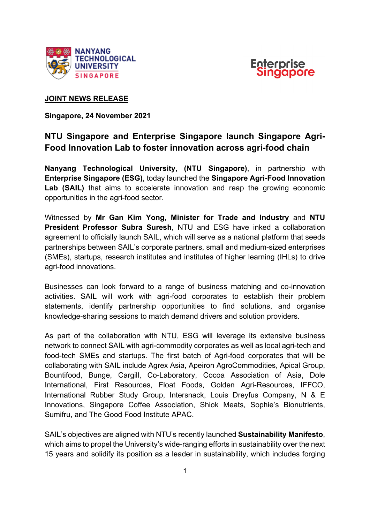



## **JOINT NEWS RELEASE**

**Singapore, 24 November 2021** 

# **NTU Singapore and Enterprise Singapore launch Singapore Agri-Food Innovation Lab to foster innovation across agri-food chain**

**Nanyang Technological University, (NTU Singapore)**, in partnership with **Enterprise Singapore (ESG)**, today launched the **Singapore Agri-Food Innovation Lab (SAIL)** that aims to accelerate innovation and reap the growing economic opportunities in the agri-food sector.

Witnessed by **Mr Gan Kim Yong, Minister for Trade and Industry** and **NTU President Professor Subra Suresh**, NTU and ESG have inked a collaboration agreement to officially launch SAIL, which will serve as a national platform that seeds partnerships between SAIL's corporate partners, small and medium-sized enterprises (SMEs), startups, research institutes and institutes of higher learning (IHLs) to drive agri-food innovations.

Businesses can look forward to a range of business matching and co-innovation activities. SAIL will work with agri-food corporates to establish their problem statements, identify partnership opportunities to find solutions, and organise knowledge-sharing sessions to match demand drivers and solution providers.

As part of the collaboration with NTU, ESG will leverage its extensive business network to connect SAIL with agri-commodity corporates as well as local agri-tech and food-tech SMEs and startups. The first batch of Agri-food corporates that will be collaborating with SAIL include Agrex Asia, Apeiron AgroCommodities, Apical Group, Bountifood, Bunge, Cargill, Co-Laboratory, Cocoa Association of Asia, Dole International, First Resources, Float Foods, Golden Agri-Resources, IFFCO, International Rubber Study Group, Intersnack, Louis Dreyfus Company, N & E Innovations, Singapore Coffee Association, Shiok Meats, Sophie's Bionutrients, Sumifru, and The Good Food Institute APAC.

SAIL's objectives are aligned with NTU's recently launched **Sustainability Manifesto**, which aims to propel the University's wide-ranging efforts in sustainability over the next 15 years and solidify its position as a leader in sustainability, which includes forging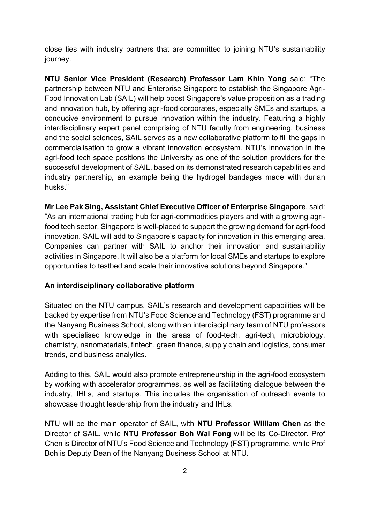close ties with industry partners that are committed to joining NTU's sustainability journey.

**NTU Senior Vice President (Research) Professor Lam Khin Yong** said: "The partnership between NTU and Enterprise Singapore to establish the Singapore Agri-Food Innovation Lab (SAIL) will help boost Singapore's value proposition as a trading and innovation hub, by offering agri-food corporates, especially SMEs and startups, a conducive environment to pursue innovation within the industry. Featuring a highly interdisciplinary expert panel comprising of NTU faculty from engineering, business and the social sciences, SAIL serves as a new collaborative platform to fill the gaps in commercialisation to grow a vibrant innovation ecosystem. NTU's innovation in the agri-food tech space positions the University as one of the solution providers for the successful development of SAIL, based on its demonstrated research capabilities and industry partnership, an example being the hydrogel bandages made with durian husks."

**Mr Lee Pak Sing, Assistant Chief Executive Officer of Enterprise Singapore**, said: "As an international trading hub for agri-commodities players and with a growing agrifood tech sector, Singapore is well-placed to support the growing demand for agri-food innovation. SAIL will add to Singapore's capacity for innovation in this emerging area. Companies can partner with SAIL to anchor their innovation and sustainability activities in Singapore. It will also be a platform for local SMEs and startups to explore opportunities to testbed and scale their innovative solutions beyond Singapore."

## **An interdisciplinary collaborative platform**

Situated on the NTU campus, SAIL's research and development capabilities will be backed by expertise from NTU's Food Science and Technology (FST) programme and the Nanyang Business School, along with an interdisciplinary team of NTU professors with specialised knowledge in the areas of food-tech, agri-tech, microbiology, chemistry, nanomaterials, fintech, green finance, supply chain and logistics, consumer trends, and business analytics.

Adding to this, SAIL would also promote entrepreneurship in the agri-food ecosystem by working with accelerator programmes, as well as facilitating dialogue between the industry, IHLs, and startups. This includes the organisation of outreach events to showcase thought leadership from the industry and IHLs.

NTU will be the main operator of SAIL, with **NTU Professor William Chen** as the Director of SAIL, while **NTU Professor Boh Wai Fong** will be its Co-Director. Prof Chen is Director of NTU's Food Science and Technology (FST) programme, while Prof Boh is Deputy Dean of the Nanyang Business School at NTU.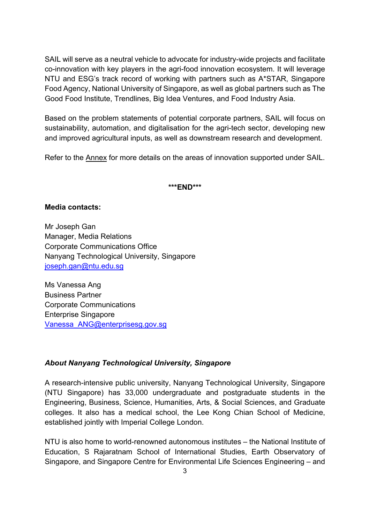SAIL will serve as a neutral vehicle to advocate for industry-wide projects and facilitate co-innovation with key players in the agri-food innovation ecosystem. It will leverage NTU and ESG's track record of working with partners such as A\*STAR, Singapore Food Agency, National University of Singapore, as well as global partners such as The Good Food Institute, Trendlines, Big Idea Ventures, and Food Industry Asia.

Based on the problem statements of potential corporate partners, SAIL will focus on sustainability, automation, and digitalisation for the agri-tech sector, developing new and improved agricultural inputs, as well as downstream research and development.

Refer to the Annex for more details on the areas of innovation supported under SAIL.

#### **\*\*\*END\*\*\***

#### **Media contacts:**

Mr Joseph Gan Manager, Media Relations Corporate Communications Office Nanyang Technological University, Singapore [joseph.gan@ntu.edu.sg](mailto:joseph.gan@ntu.edu.sg)

Ms Vanessa Ang Business Partner Corporate Communications Enterprise Singapore [Vanessa\\_ANG@enterprisesg.gov.sg](mailto:Vanessa_ANG@enterprisesg.gov.sg)

#### *About Nanyang Technological University, Singapore*

A research-intensive public university, Nanyang Technological University, Singapore (NTU Singapore) has 33,000 undergraduate and postgraduate students in the Engineering, Business, Science, Humanities, Arts, & Social Sciences, and Graduate colleges. It also has a medical school, the Lee Kong Chian School of Medicine, established jointly with Imperial College London.

NTU is also home to world-renowned autonomous institutes – the National Institute of Education, S Rajaratnam School of International Studies, Earth Observatory of Singapore, and Singapore Centre for Environmental Life Sciences Engineering – and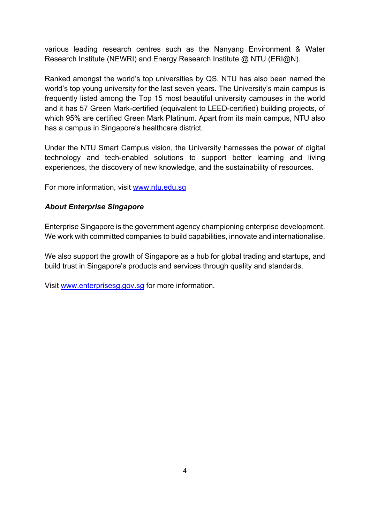various leading research centres such as the Nanyang Environment & Water Research Institute (NEWRI) and Energy Research Institute @ NTU (ERI@N).

Ranked amongst the world's top universities by QS, NTU has also been named the world's top young university for the last seven years. The University's main campus is frequently listed among the Top 15 most beautiful university campuses in the world and it has 57 Green Mark-certified (equivalent to LEED-certified) building projects, of which 95% are certified Green Mark Platinum. Apart from its main campus, NTU also has a campus in Singapore's healthcare district.

Under the NTU Smart Campus vision, the University harnesses the power of digital technology and tech-enabled solutions to support better learning and living experiences, the discovery of new knowledge, and the sustainability of resources.

For more information, visit [www.ntu.edu.sg](http://www.ntu.edu.sg/)

## *About Enterprise Singapore*

Enterprise Singapore is the government agency championing enterprise development. We work with committed companies to build capabilities, innovate and internationalise.

We also support the growth of Singapore as a hub for global trading and startups, and build trust in Singapore's products and services through quality and standards.

Visit [www.enterprisesg.gov.sg](http://www.enterprisesg.gov.sg/) for more information.